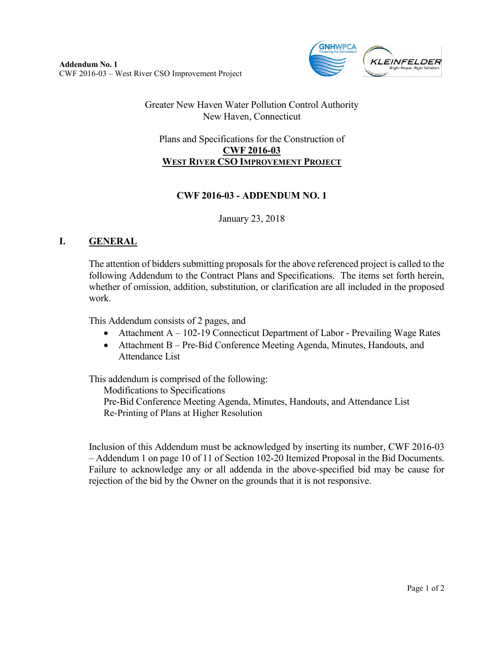

## Greater New Haven Water Pollution Control Authority New Haven, Connecticut

## Plans and Specifications for the Construction of **CWF 2016-03 WEST RIVER CSO IMPROVEMENT PROJECT**

## **CWF 2016-03 - ADDENDUM NO. 1**

January 23, 2018

## **I. GENERAL**

The attention of bidders submitting proposals for the above referenced project is called to the following Addendum to the Contract Plans and Specifications. The items set forth herein, whether of omission, addition, substitution, or clarification are all included in the proposed work.

This Addendum consists of 2 pages, and

- Attachment A 102-19 Connecticut Department of Labor Prevailing Wage Rates
- Attachment B Pre-Bid Conference Meeting Agenda, Minutes, Handouts, and Attendance List

This addendum is comprised of the following:

Modifications to Specifications

Pre-Bid Conference Meeting Agenda, Minutes, Handouts, and Attendance List Re-Printing of Plans at Higher Resolution

Inclusion of this Addendum must be acknowledged by inserting its number, CWF 2016-03 – Addendum 1 on page 10 of 11 of Section 102-20 Itemized Proposal in the Bid Documents. Failure to acknowledge any or all addenda in the above-specified bid may be cause for rejection of the bid by the Owner on the grounds that it is not responsive.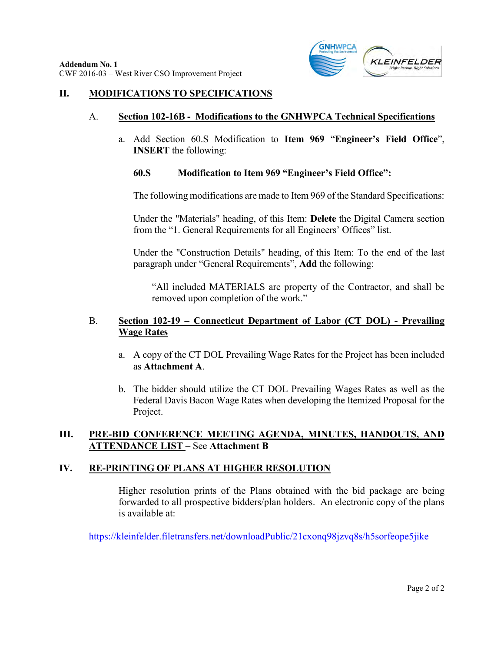

#### **II. MODIFICATIONS TO SPECIFICATIONS**

#### A. **Section 102-16B - Modifications to the GNHWPCA Technical Specifications**

a. Add Section 60.S Modification to **Item 969** "**Engineer's Field Office**", **INSERT** the following:

#### **60.S Modification to Item 969 "Engineer's Field Office":**

The following modifications are made to Item 969 of the Standard Specifications:

Under the "Materials" heading, of this Item: **Delete** the Digital Camera section from the "1. General Requirements for all Engineers' Offices" list.

Under the "Construction Details" heading, of this Item: To the end of the last paragraph under "General Requirements", **Add** the following:

"All included MATERIALS are property of the Contractor, and shall be removed upon completion of the work."

### B. **Section 102-19 – Connecticut Department of Labor (CT DOL) - Prevailing Wage Rates**

- a. A copy of the CT DOL Prevailing Wage Rates for the Project has been included as **Attachment A**.
- b. The bidder should utilize the CT DOL Prevailing Wages Rates as well as the Federal Davis Bacon Wage Rates when developing the Itemized Proposal for the Project.

## **III. PRE-BID CONFERENCE MEETING AGENDA, MINUTES, HANDOUTS, AND ATTENDANCE LIST –** See **Attachment B**

#### **IV. RE-PRINTING OF PLANS AT HIGHER RESOLUTION**

Higher resolution prints of the Plans obtained with the bid package are being forwarded to all prospective bidders/plan holders. An electronic copy of the plans is available at:

<https://kleinfelder.filetransfers.net/downloadPublic/21cxonq98jzvq8s/h5sorfeope5jike>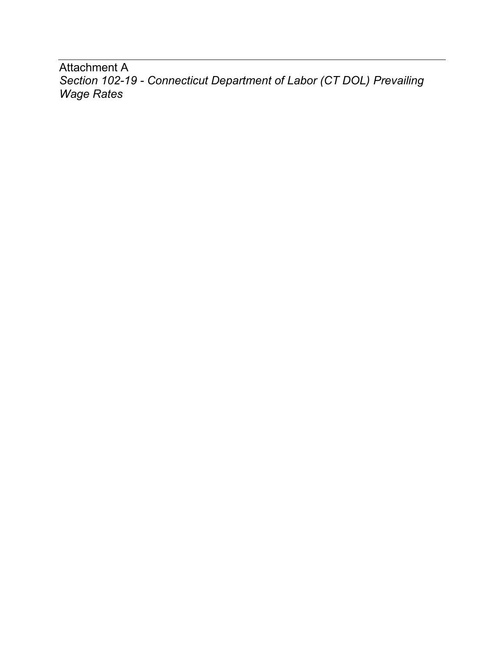Attachment A *Section 102-19 - Connecticut Department of Labor (CT DOL) Prevailing Wage Rates*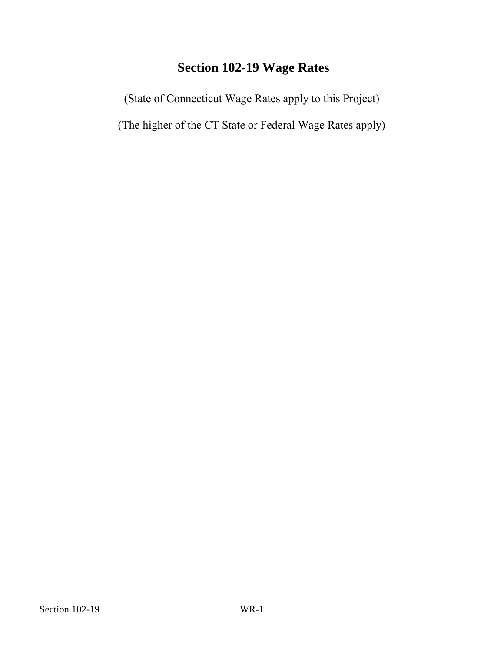# **Section 102-19 Wage Rates**

(State of Connecticut Wage Rates apply to this Project) Section 102-19 Wage Rates<br>
(State of Connecticut Wage Rates apply to the<br>
(The higher of the CT State or Federal Wage l

(The higher of the CT State or Federal Wage Rates apply)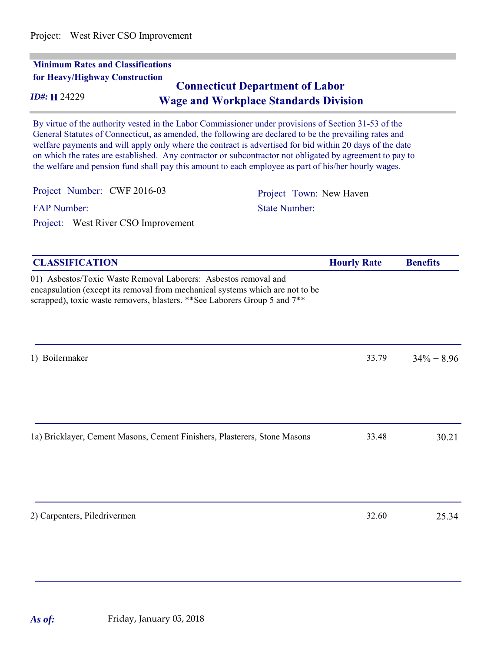| ID#: H 24229                                                    | <b>Connecticut Department of Labor</b><br><b>Wage and Workplace Standards Division</b>                                                                                                                                                                                                                                                                                                                                                                                                                                                         |                 |
|-----------------------------------------------------------------|------------------------------------------------------------------------------------------------------------------------------------------------------------------------------------------------------------------------------------------------------------------------------------------------------------------------------------------------------------------------------------------------------------------------------------------------------------------------------------------------------------------------------------------------|-----------------|
|                                                                 | By virtue of the authority vested in the Labor Commissioner under provisions of Section 31-53 of the<br>General Statutes of Connecticut, as amended, the following are declared to be the prevailing rates and<br>welfare payments and will apply only where the contract is advertised for bid within 20 days of the date<br>on which the rates are established. Any contractor or subcontractor not obligated by agreement to pay to<br>the welfare and pension fund shall pay this amount to each employee as part of his/her hourly wages. |                 |
| Project Number: CWF 2016-03                                     | Project Town: New Haven                                                                                                                                                                                                                                                                                                                                                                                                                                                                                                                        |                 |
| <b>FAP Number:</b>                                              | <b>State Number:</b>                                                                                                                                                                                                                                                                                                                                                                                                                                                                                                                           |                 |
| Project: West River CSO Improvement                             |                                                                                                                                                                                                                                                                                                                                                                                                                                                                                                                                                |                 |
| <b>CLASSIFICATION</b>                                           | <b>Hourly Rate</b>                                                                                                                                                                                                                                                                                                                                                                                                                                                                                                                             | <b>Benefits</b> |
| 01) Asbestos/Toxic Waste Removal Laborers: Asbestos removal and | encapsulation (except its removal from mechanical systems which are not to be<br>scrapped), toxic waste removers, blasters. ** See Laborers Group 5 and 7**                                                                                                                                                                                                                                                                                                                                                                                    |                 |
|                                                                 |                                                                                                                                                                                                                                                                                                                                                                                                                                                                                                                                                |                 |

| 1a) Bricklayer, Cement Masons, Cement Finishers, Plasterers, Stone Masons | 33.48 | 30.21 |  |
|---------------------------------------------------------------------------|-------|-------|--|
|                                                                           |       |       |  |
|                                                                           |       |       |  |

2) Carpenters, Piledrivermen 32.60 25.34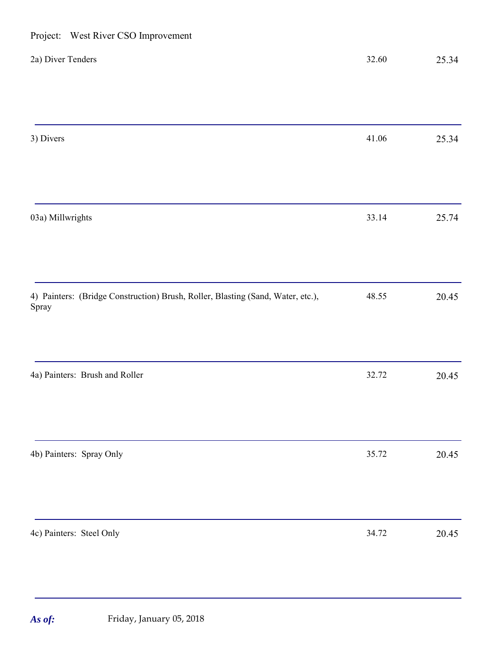| 1.0<br>$\ldots$                                                                          |       |       |
|------------------------------------------------------------------------------------------|-------|-------|
| 2a) Diver Tenders                                                                        | 32.60 | 25.34 |
|                                                                                          |       |       |
| 3) Divers                                                                                | 41.06 | 25.34 |
|                                                                                          |       |       |
| 03a) Millwrights                                                                         | 33.14 | 25.74 |
|                                                                                          |       |       |
| 4) Painters: (Bridge Construction) Brush, Roller, Blasting (Sand, Water, etc.),<br>Spray | 48.55 | 20.45 |
| 4a) Painters: Brush and Roller                                                           | 32.72 | 20.45 |
|                                                                                          |       |       |
| 4b) Painters: Spray Only                                                                 | 35.72 | 20.45 |
|                                                                                          |       |       |
| 4c) Painters: Steel Only                                                                 | 34.72 | 20.45 |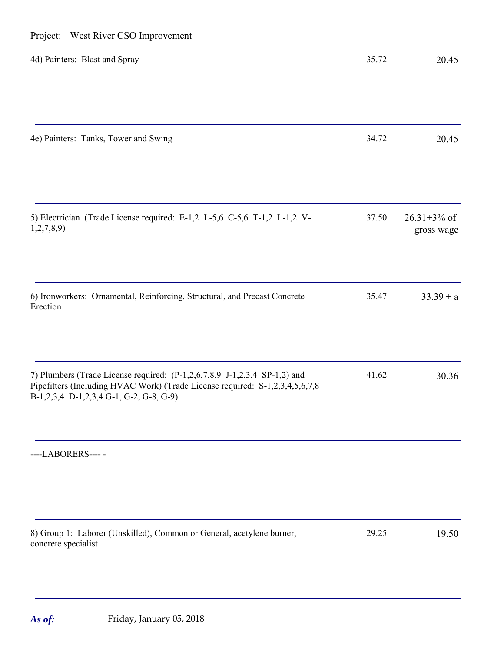| Project: West River CSO Improvement                                                                                                                                                                  |       |                                |
|------------------------------------------------------------------------------------------------------------------------------------------------------------------------------------------------------|-------|--------------------------------|
| 4d) Painters: Blast and Spray                                                                                                                                                                        | 35.72 | 20.45                          |
|                                                                                                                                                                                                      |       |                                |
| 4e) Painters: Tanks, Tower and Swing                                                                                                                                                                 | 34.72 | 20.45                          |
|                                                                                                                                                                                                      |       |                                |
| 5) Electrician (Trade License required: E-1,2 L-5,6 C-5,6 T-1,2 L-1,2 V-<br>1,2,7,8,9                                                                                                                | 37.50 | $26.31 + 3\%$ of<br>gross wage |
|                                                                                                                                                                                                      |       |                                |
| 6) Ironworkers: Ornamental, Reinforcing, Structural, and Precast Concrete<br>Erection                                                                                                                | 35.47 | $33.39 + a$                    |
|                                                                                                                                                                                                      |       |                                |
| 7) Plumbers (Trade License required: (P-1,2,6,7,8,9 J-1,2,3,4 SP-1,2) and<br>Pipefitters (Including HVAC Work) (Trade License required: S-1,2,3,4,5,6,7,8<br>B-1,2,3,4 D-1,2,3,4 G-1, G-2, G-8, G-9) | 41.62 | 30.36                          |
| ----LABORERS-----                                                                                                                                                                                    |       |                                |
|                                                                                                                                                                                                      |       |                                |
|                                                                                                                                                                                                      |       |                                |
| 8) Group 1: Laborer (Unskilled), Common or General, acetylene burner,<br>concrete specialist                                                                                                         | 29.25 | 19.50                          |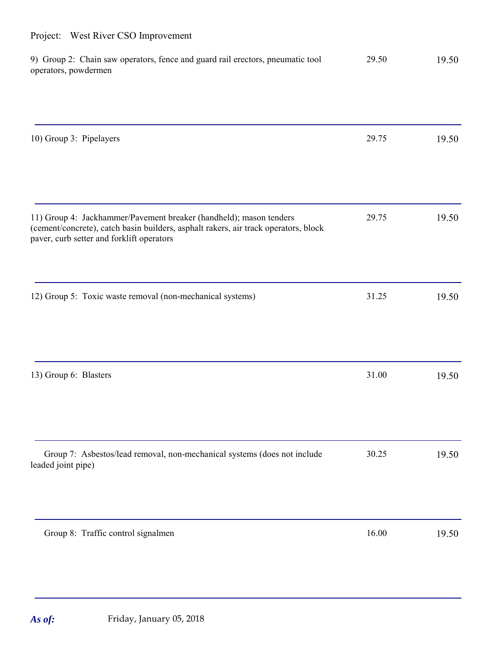| 9) Group 2: Chain saw operators, fence and guard rail erectors, pneumatic tool<br>operators, powdermen                           | 29.50 | 19.50 |
|----------------------------------------------------------------------------------------------------------------------------------|-------|-------|
|                                                                                                                                  |       |       |
| 10) Group 3: Pipelayers                                                                                                          | 29.75 | 19.50 |
| 11) Group 4: Jackhammer/Pavement breaker (handheld); mason tenders                                                               | 29.75 | 19.50 |
| (cement/concrete), catch basin builders, asphalt rakers, air track operators, block<br>paver, curb setter and forklift operators |       |       |
| 12) Group 5: Toxic waste removal (non-mechanical systems)                                                                        | 31.25 | 19.50 |
| 13) Group 6: Blasters                                                                                                            | 31.00 | 19.50 |
| Group 7: Asbestos/lead removal, non-mechanical systems (does not include<br>leaded joint pipe)                                   | 30.25 | 19.50 |
| Group 8: Traffic control signalmen                                                                                               | 16.00 | 19.50 |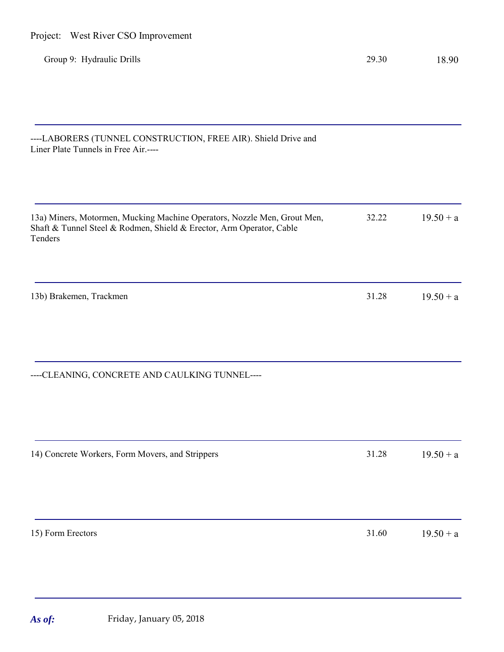| Group 9: Hydraulic Drills                                                                                                                                   | 29.30 | 18.90       |
|-------------------------------------------------------------------------------------------------------------------------------------------------------------|-------|-------------|
|                                                                                                                                                             |       |             |
| ----LABORERS (TUNNEL CONSTRUCTION, FREE AIR). Shield Drive and<br>Liner Plate Tunnels in Free Air.----                                                      |       |             |
| 13a) Miners, Motormen, Mucking Machine Operators, Nozzle Men, Grout Men,<br>Shaft & Tunnel Steel & Rodmen, Shield & Erector, Arm Operator, Cable<br>Tenders | 32.22 | $19.50 + a$ |
| 13b) Brakemen, Trackmen                                                                                                                                     | 31.28 | $19.50 + a$ |
| ----CLEANING, CONCRETE AND CAULKING TUNNEL----                                                                                                              |       |             |
| 14) Concrete Workers, Form Movers, and Strippers                                                                                                            | 31.28 | $19.50 + a$ |
|                                                                                                                                                             |       |             |
| 15) Form Erectors                                                                                                                                           | 31.60 | $19.50 + a$ |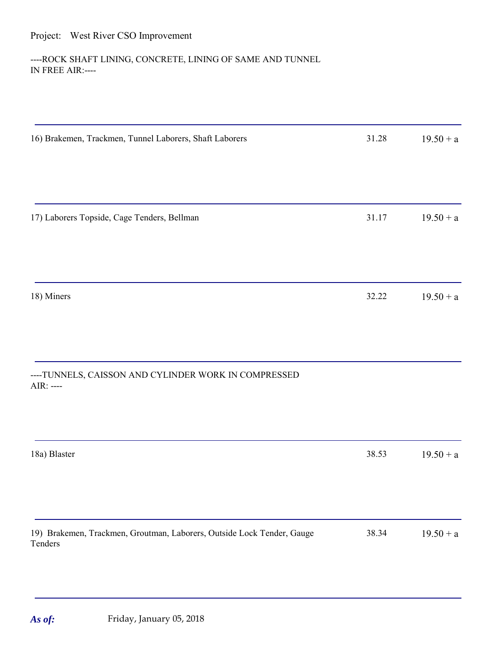## ----ROCK SHAFT LINING, CONCRETE, LINING OF SAME AND TUNNEL IN FREE AIR:----

| 16) Brakemen, Trackmen, Tunnel Laborers, Shaft Laborers                           | 31.28 | $19.50 + a$ |
|-----------------------------------------------------------------------------------|-------|-------------|
|                                                                                   |       |             |
| 17) Laborers Topside, Cage Tenders, Bellman                                       | 31.17 | $19.50 + a$ |
|                                                                                   |       |             |
| 18) Miners                                                                        | 32.22 | $19.50 + a$ |
|                                                                                   |       |             |
| ----TUNNELS, CAISSON AND CYLINDER WORK IN COMPRESSED<br>AIR: ----                 |       |             |
|                                                                                   |       |             |
| 18a) Blaster                                                                      | 38.53 | $19.50 + a$ |
|                                                                                   |       |             |
| 19) Brakemen, Trackmen, Groutman, Laborers, Outside Lock Tender, Gauge<br>Tenders | 38.34 | $19.50 + a$ |
|                                                                                   |       |             |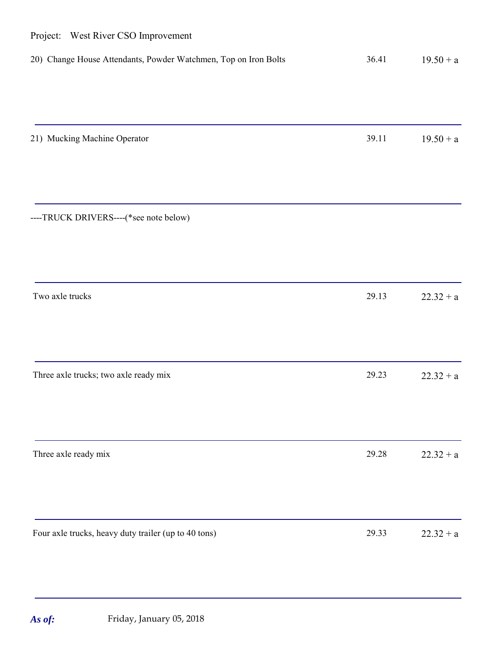| Project: West River CSO Improvement                             |       |             |
|-----------------------------------------------------------------|-------|-------------|
| 20) Change House Attendants, Powder Watchmen, Top on Iron Bolts | 36.41 | $19.50 + a$ |
|                                                                 |       |             |
| 21) Mucking Machine Operator                                    | 39.11 | $19.50 + a$ |
| ----TRUCK DRIVERS----(*see note below)                          |       |             |
| Two axle trucks                                                 | 29.13 | $22.32 + a$ |
| Three axle trucks; two axle ready mix                           | 29.23 | $22.32 + a$ |
| Three axle ready mix                                            | 29.28 | $22.32 + a$ |
| Four axle trucks, heavy duty trailer (up to 40 tons)            | 29.33 | $22.32 + a$ |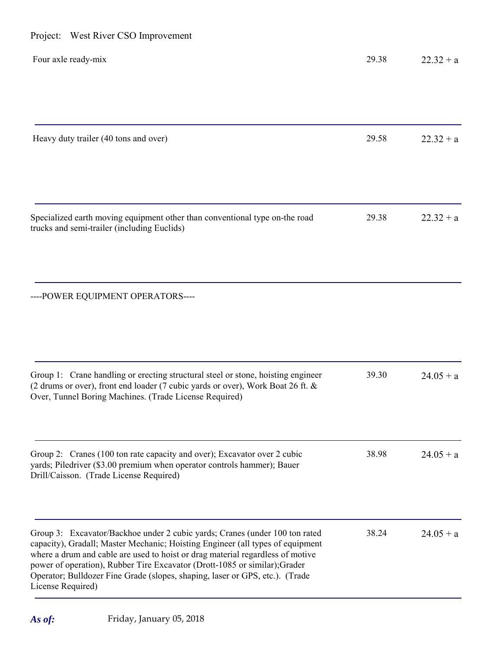| Project: West River CSO Improvement                                                                                                                                                                                                                                                                                                                                                                                                |       |             |
|------------------------------------------------------------------------------------------------------------------------------------------------------------------------------------------------------------------------------------------------------------------------------------------------------------------------------------------------------------------------------------------------------------------------------------|-------|-------------|
| Four axle ready-mix                                                                                                                                                                                                                                                                                                                                                                                                                | 29.38 | $22.32 + a$ |
| Heavy duty trailer (40 tons and over)                                                                                                                                                                                                                                                                                                                                                                                              | 29.58 | $22.32 + a$ |
| Specialized earth moving equipment other than conventional type on-the road<br>trucks and semi-trailer (including Euclids)                                                                                                                                                                                                                                                                                                         | 29.38 | $22.32 + a$ |
| ----POWER EQUIPMENT OPERATORS----                                                                                                                                                                                                                                                                                                                                                                                                  |       |             |
| Group 1: Crane handling or erecting structural steel or stone, hoisting engineer<br>(2 drums or over), front end loader (7 cubic yards or over), Work Boat 26 ft. &<br>Over, Tunnel Boring Machines. (Trade License Required)                                                                                                                                                                                                      | 39.30 | $24.05 + a$ |
| Group 2: Cranes (100 ton rate capacity and over); Excavator over 2 cubic<br>yards; Piledriver (\$3.00 premium when operator controls hammer); Bauer<br>Drill/Caisson. (Trade License Required)                                                                                                                                                                                                                                     | 38.98 | $24.05 + a$ |
| Group 3: Excavator/Backhoe under 2 cubic yards; Cranes (under 100 ton rated<br>capacity), Gradall; Master Mechanic; Hoisting Engineer (all types of equipment<br>where a drum and cable are used to hoist or drag material regardless of motive<br>power of operation), Rubber Tire Excavator (Drott-1085 or similar); Grader<br>Operator; Bulldozer Fine Grade (slopes, shaping, laser or GPS, etc.). (Trade<br>License Required) | 38.24 | $24.05 + a$ |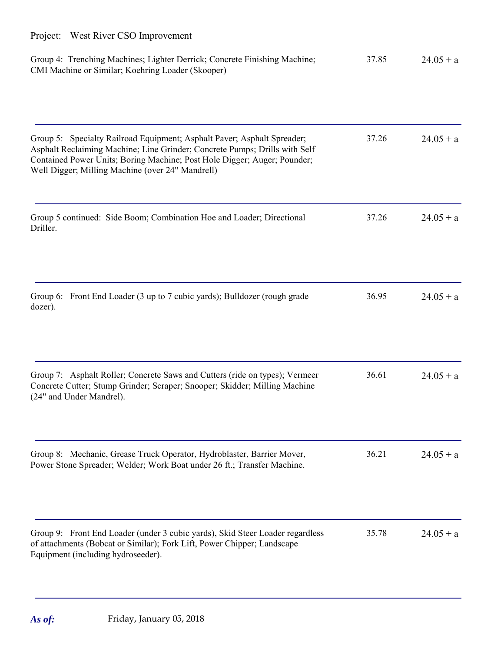| Group 4: Trenching Machines; Lighter Derrick; Concrete Finishing Machine;<br>CMI Machine or Similar; Koehring Loader (Skooper)                                                                                                                                                        | 37.85 | $24.05 + a$ |
|---------------------------------------------------------------------------------------------------------------------------------------------------------------------------------------------------------------------------------------------------------------------------------------|-------|-------------|
| Group 5: Specialty Railroad Equipment; Asphalt Paver; Asphalt Spreader;<br>Asphalt Reclaiming Machine; Line Grinder; Concrete Pumps; Drills with Self<br>Contained Power Units; Boring Machine; Post Hole Digger; Auger; Pounder;<br>Well Digger; Milling Machine (over 24" Mandrell) | 37.26 | $24.05 + a$ |
| Group 5 continued: Side Boom; Combination Hoe and Loader; Directional<br>Driller.                                                                                                                                                                                                     | 37.26 | $24.05 + a$ |
| Group 6: Front End Loader (3 up to 7 cubic yards); Bulldozer (rough grade<br>dozer).                                                                                                                                                                                                  | 36.95 | $24.05 + a$ |
| Group 7: Asphalt Roller; Concrete Saws and Cutters (ride on types); Vermeer<br>Concrete Cutter; Stump Grinder; Scraper; Snooper; Skidder; Milling Machine<br>(24" and Under Mandrel).                                                                                                 | 36.61 | $24.05 + a$ |
| Group 8: Mechanic, Grease Truck Operator, Hydroblaster, Barrier Mover,<br>Power Stone Spreader; Welder; Work Boat under 26 ft.; Transfer Machine.                                                                                                                                     | 36.21 | $24.05 + a$ |
| Group 9: Front End Loader (under 3 cubic yards), Skid Steer Loader regardless<br>of attachments (Bobcat or Similar); Fork Lift, Power Chipper; Landscape<br>Equipment (including hydroseeder).                                                                                        | 35.78 | $24.05 + a$ |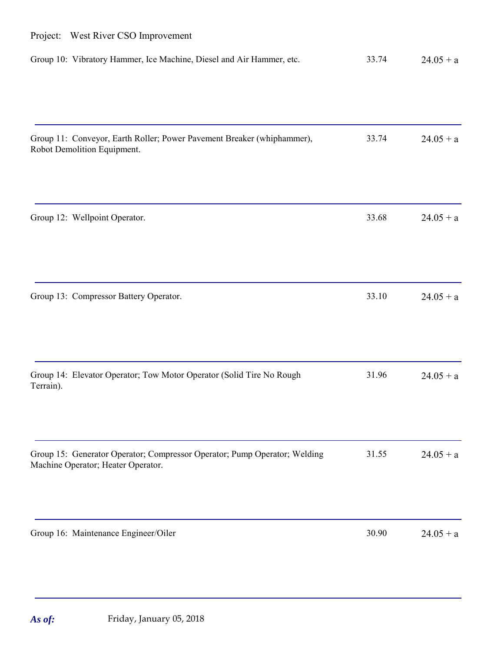| Project: West River CSO Improvement                                                                             |       |             |
|-----------------------------------------------------------------------------------------------------------------|-------|-------------|
| Group 10: Vibratory Hammer, Ice Machine, Diesel and Air Hammer, etc.                                            | 33.74 | $24.05 + a$ |
| Group 11: Conveyor, Earth Roller; Power Pavement Breaker (whiphammer),<br>Robot Demolition Equipment.           | 33.74 | $24.05 + a$ |
| Group 12: Wellpoint Operator.                                                                                   | 33.68 | $24.05 + a$ |
| Group 13: Compressor Battery Operator.                                                                          | 33.10 | $24.05 + a$ |
| Group 14: Elevator Operator; Tow Motor Operator (Solid Tire No Rough<br>Terrain).                               | 31.96 | $24.05 + a$ |
| Group 15: Generator Operator; Compressor Operator; Pump Operator; Welding<br>Machine Operator; Heater Operator. | 31.55 | $24.05 + a$ |
| Group 16: Maintenance Engineer/Oiler                                                                            | 30.90 | $24.05 + a$ |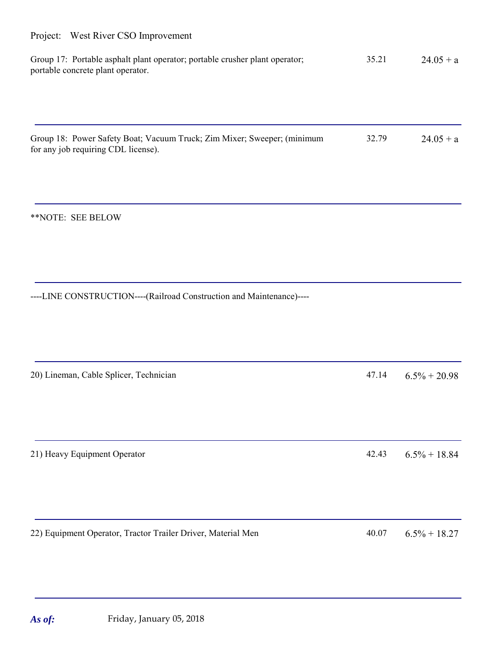| Group 17: Portable asphalt plant operator; portable crusher plant operator; | 35.21 | $24.05 + a$ |
|-----------------------------------------------------------------------------|-------|-------------|
| portable concrete plant operator.                                           |       |             |

Group 18: Power Safety Boat; Vacuum Truck; Zim Mixer; Sweeper; (minimum for any job requiring CDL license).  $32.79$   $24.05 + a$ 

\*\*NOTE: SEE BELOW

----LINE CONSTRUCTION----(Railroad Construction and Maintenance)----

20) Lineman, Cable Splicer, Technician  $47.14$   $6.5\% + 20.98$ 

21) Heavy Equipment Operator 42.43 6.5% + 18.84

22) Equipment Operator, Tractor Trailer Driver, Material Men 40.07 6.5% + 18.27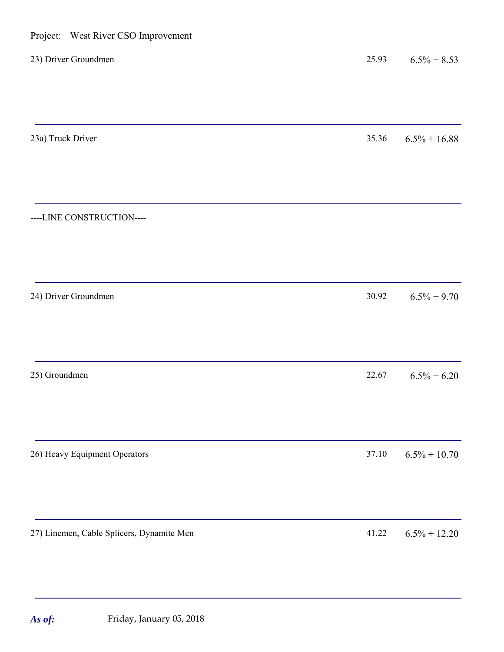| Project: West River CSO Improvement       |       |                 |
|-------------------------------------------|-------|-----------------|
| 23) Driver Groundmen                      | 25.93 | $6.5\% + 8.53$  |
| 23a) Truck Driver                         | 35.36 | $6.5\% + 16.88$ |
| ----LINE CONSTRUCTION----                 |       |                 |
| 24) Driver Groundmen                      | 30.92 | $6.5\% + 9.70$  |
| 25) Groundmen                             | 22.67 | $6.5\% + 6.20$  |
| 26) Heavy Equipment Operators             | 37.10 | $6.5\% + 10.70$ |
| 27) Linemen, Cable Splicers, Dynamite Men | 41.22 | $6.5\% + 12.20$ |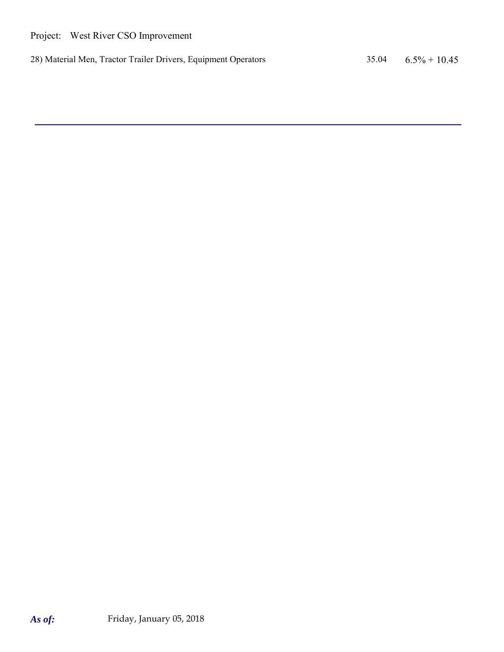28) Material Men, Tractor Trailer Drivers, Equipment Operators 35.04 6.5% + 10.45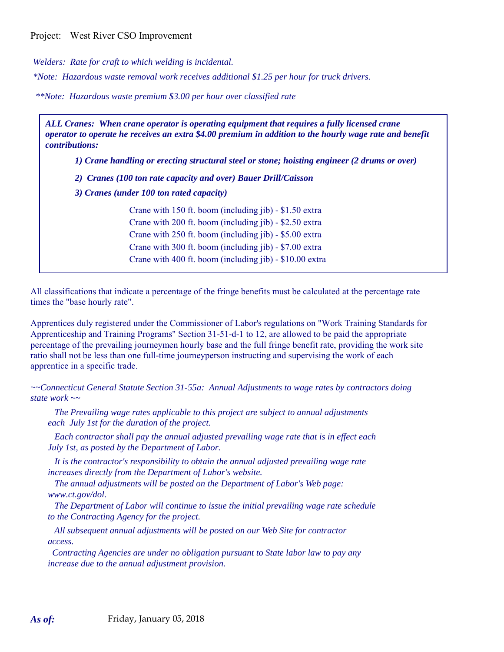*Welders: Rate for craft to which welding is incidental.*

*\*Note: Hazardous waste removal work receives additional \$1.25 per hour for truck drivers.*

*\*\*Note: Hazardous waste premium \$3.00 per hour over classified rate*

*ALL Cranes: When crane operator is operating equipment that requires a fully licensed crane operator to operate he receives an extra \$4.00 premium in addition to the hourly wage rate and benefit contributions:*

*1) Crane handling or erecting structural steel or stone; hoisting engineer (2 drums or over)*

*2) Cranes (100 ton rate capacity and over) Bauer Drill/Caisson*

*3) Cranes (under 100 ton rated capacity)*

Crane with 150 ft. boom (including jib) - \$1.50 extra Crane with 200 ft. boom (including jib) - \$2.50 extra Crane with 250 ft. boom (including jib) - \$5.00 extra Crane with 300 ft. boom (including jib) - \$7.00 extra Crane with 400 ft. boom (including jib) - \$10.00 extra

All classifications that indicate a percentage of the fringe benefits must be calculated at the percentage rate times the "base hourly rate".

Apprentices duly registered under the Commissioner of Labor's regulations on "Work Training Standards for Apprenticeship and Training Programs" Section 31-51-d-1 to 12, are allowed to be paid the appropriate percentage of the prevailing journeymen hourly base and the full fringe benefit rate, providing the work site ratio shall not be less than one full-time journeyperson instructing and supervising the work of each apprentice in a specific trade.

*~~Connecticut General Statute Section 31-55a: Annual Adjustments to wage rates by contractors doing state work ~~*

 *The Prevailing wage rates applicable to this project are subject to annual adjustments each July 1st for the duration of the project.* 

 *Each contractor shall pay the annual adjusted prevailing wage rate that is in effect each July 1st, as posted by the Department of Labor.* 

 *It is the contractor's responsibility to obtain the annual adjusted prevailing wage rate increases directly from the Department of Labor's website.*

 *The annual adjustments will be posted on the Department of Labor's Web page: www.ct.gov/dol.*

 *The Department of Labor will continue to issue the initial prevailing wage rate schedule to the Contracting Agency for the project.*

 *All subsequent annual adjustments will be posted on our Web Site for contractor access.* 

 *Contracting Agencies are under no obligation pursuant to State labor law to pay any increase due to the annual adjustment provision.*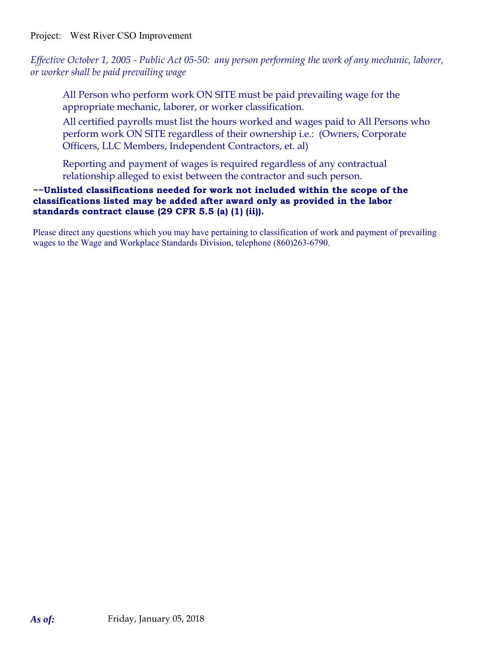*Effective October 1, 2005 - Public Act 05-50: any person performing the work of any mechanic, laborer, or worker shall be paid prevailing wage*

All Person who perform work ON SITE must be paid prevailing wage for the appropriate mechanic, laborer, or worker classification.

All certified payrolls must list the hours worked and wages paid to All Persons who perform work ON SITE regardless of their ownership i.e.: (Owners, Corporate Officers, LLC Members, Independent Contractors, et. al)

Reporting and payment of wages is required regardless of any contractual relationship alleged to exist between the contractor and such person.

### **~~Unlisted classifications needed for work not included within the scope of the classifications listed may be added after award only as provided in the labor standards contract clause (29 CFR 5.5 (a) (1) (ii)).**

Please direct any questions which you may have pertaining to classification of work and payment of prevailing wages to the Wage and Workplace Standards Division, telephone (860)263-6790.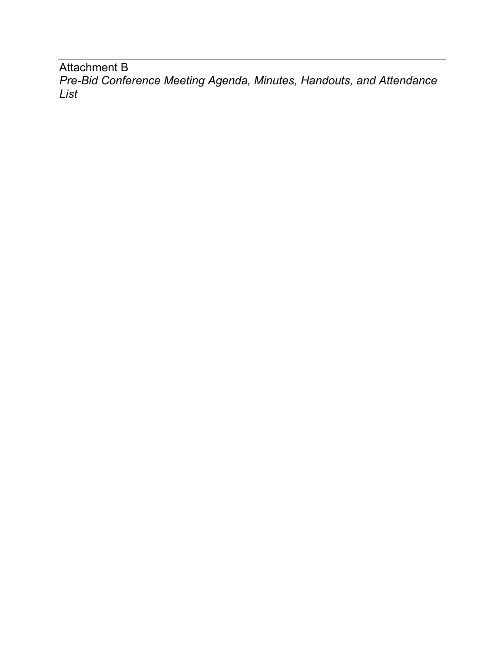Attachment B *Pre-Bid Conference Meeting Agenda, Minutes, Handouts, and Attendance List*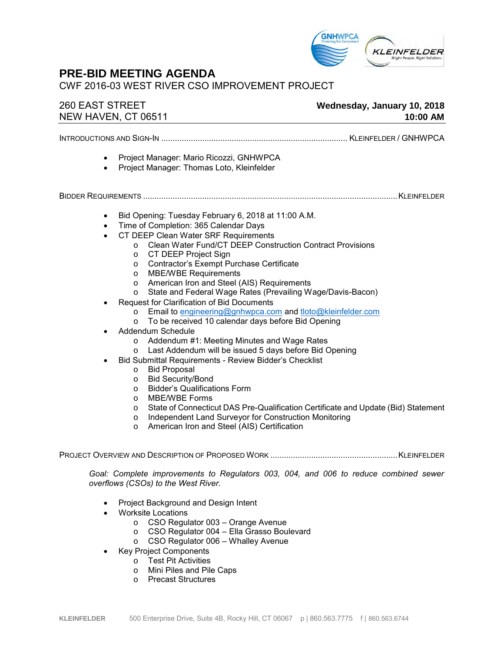

## **PRE-BID MEETING AGENDA**

CWF 2016-03 WEST RIVER CSO IMPROVEMENT PROJECT

## 260 EAST STREET **Wednesday, January 10, 2018** NEW HAVEN, CT 06511 **10:00 AM**

INTRODUCTIONS AND SIGN-IN .................................................................................. KLEINFELDER / GNHWPCA

- Project Manager: Mario Ricozzi, GNHWPCA
	- Project Manager: Thomas Loto, Kleinfelder

BIDDER REQUIREMENTS ................................................................................................................KLEINFELDER

- Bid Opening: Tuesday February 6, 2018 at 11:00 A.M.
- Time of Completion: 365 Calendar Days
- CT DEEP Clean Water SRF Requirements
	- o Clean Water Fund/CT DEEP Construction Contract Provisions
	- o CT DEEP Project Sign
	- o Contractor's Exempt Purchase Certificate
	- o MBE/WBE Requirements
	- o American Iron and Steel (AIS) Requirements
	- o State and Federal Wage Rates (Prevailing Wage/Davis-Bacon)
- Request for Clarification of Bid Documents
	- o Email to [engineering@gnhwpca.com](mailto:engineering@gnhwpca.com) and [tloto@kleinfelder.com](mailto:tloto@kleinfelder.com)
	- o To be received 10 calendar days before Bid Opening
- Addendum Schedule
	- o Addendum #1: Meeting Minutes and Wage Rates
	- o Last Addendum will be issued 5 days before Bid Opening
- Bid Submittal Requirements Review Bidder's Checklist
	- o Bid Proposal
	- o Bid Security/Bond
	- o Bidder's Qualifications Form
	- o MBE/WBE Forms
	- o State of Connecticut DAS Pre-Qualification Certificate and Update (Bid) Statement
	- o Independent Land Surveyor for Construction Monitoring
	- o American Iron and Steel (AIS) Certification

PROJECT OVERVIEW AND DESCRIPTION OF PROPOSED WORK ........................................................KLEINFELDER

*Goal: Complete improvements to Regulators 003, 004, and 006 to reduce combined sewer overflows (CSOs) to the West River.* 

- Project Background and Design Intent
- Worksite Locations
	- o CSO Regulator 003 Orange Avenue
	- o CSO Regulator 004 Ella Grasso Boulevard
	- o CSO Regulator 006 Whalley Avenue
- Key Project Components
	- o Test Pit Activities
	- o Mini Piles and Pile Caps
	- o Precast Structures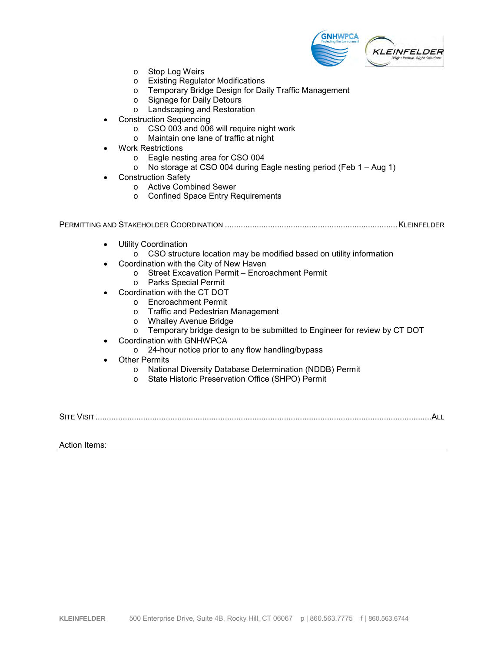

- o Stop Log Weirs
- o Existing Regulator Modifications<br>
o Temporary Bridge Design for Da
- Temporary Bridge Design for Daily Traffic Management
- o Signage for Daily Detours
- o Landscaping and Restoration
- Construction Sequencing
	- o CSO 003 and 006 will require night work
	- o Maintain one lane of traffic at night
- Work Restrictions
	- o Eagle nesting area for CSO 004
	- o No storage at CSO 004 during Eagle nesting period (Feb 1 Aug 1)
- Construction Safety
	- o Active Combined Sewer
	- o Confined Space Entry Requirements

PERMITTING AND STAKEHOLDER COORDINATION ............................................................................KLEINFELDER

- **Utility Coordination** 
	- $\overline{\circ}$  CSO structure location may be modified based on utility information
- Coordination with the City of New Haven
	- o Street Excavation Permit Encroachment Permit
	- o Parks Special Permit
- Coordination with the CT DOT
	- o Encroachment Permit
	- o Traffic and Pedestrian Management
	- o Whalley Avenue Bridge
	- o Temporary bridge design to be submitted to Engineer for review by CT DOT
- Coordination with GNHWPCA
	- o 24-hour notice prior to any flow handling/bypass
- **Other Permits** 
	- o National Diversity Database Determination (NDDB) Permit
	- o State Historic Preservation Office (SHPO) Permit

SITE VISIT....................................................................................................................................................ALL

#### Action Items: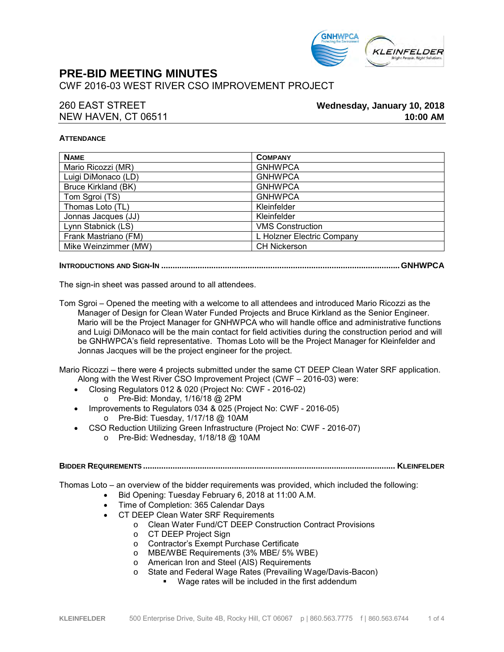

## **PRE-BID MEETING MINUTES**

CWF 2016-03 WEST RIVER CSO IMPROVEMENT PROJECT

### 260 EAST STREET **Wednesday, January 10, 2018** NEW HAVEN, CT 06511 **10:00 AM**

#### **ATTENDANCE**

| <b>NAME</b>          | <b>COMPANY</b>             |
|----------------------|----------------------------|
| Mario Ricozzi (MR)   | <b>GNHWPCA</b>             |
| Luigi DiMonaco (LD)  | <b>GNHWPCA</b>             |
| Bruce Kirkland (BK)  | <b>GNHWPCA</b>             |
| Tom Sgroi (TS)       | <b>GNHWPCA</b>             |
| Thomas Loto (TL)     | Kleinfelder                |
| Jonnas Jacques (JJ)  | Kleinfelder                |
| Lynn Stabnick (LS)   | <b>VMS Construction</b>    |
| Frank Mastriano (FM) | L Holzner Electric Company |
| Mike Weinzimmer (MW) | <b>CH Nickerson</b>        |

#### **INTRODUCTIONS AND SIGN-IN .........................................................................................................GNHWPCA**

The sign-in sheet was passed around to all attendees.

Tom Sgroi – Opened the meeting with a welcome to all attendees and introduced Mario Ricozzi as the Manager of Design for Clean Water Funded Projects and Bruce Kirkland as the Senior Engineer. Mario will be the Project Manager for GNHWPCA who will handle office and administrative functions and Luigi DiMonaco will be the main contact for field activities during the construction period and will be GNHWPCA's field representative. Thomas Loto will be the Project Manager for Kleinfelder and Jonnas Jacques will be the project engineer for the project.

Mario Ricozzi – there were 4 projects submitted under the same CT DEEP Clean Water SRF application. Along with the West River CSO Improvement Project (CWF – 2016-03) were:

- Closing Regulators 012 & 020 (Project No: CWF 2016-02)
	- o Pre-Bid: Monday, 1/16/18 @ 2PM
- Improvements to Regulators 034 & 025 (Project No: CWF 2016-05) o Pre-Bid: Tuesday, 1/17/18 @ 10AM
- CSO Reduction Utilizing Green Infrastructure (Project No: CWF 2016-07)
	- o Pre-Bid: Wednesday, 1/18/18 @ 10AM

#### **BIDDER REQUIREMENTS ............................................................................................................... KLEINFELDER**

Thomas Loto – an overview of the bidder requirements was provided, which included the following:

- Bid Opening: Tuesday February 6, 2018 at 11:00 A.M.
- Time of Completion: 365 Calendar Days
- CT DEEP Clean Water SRF Requirements
	- o Clean Water Fund/CT DEEP Construction Contract Provisions
		- o CT DEEP Project Sign
		- o Contractor's Exempt Purchase Certificate
		- o MBE/WBE Requirements (3% MBE/ 5% WBE)
		- o American Iron and Steel (AIS) Requirements
		- o State and Federal Wage Rates (Prevailing Wage/Davis-Bacon)
			- Wage rates will be included in the first addendum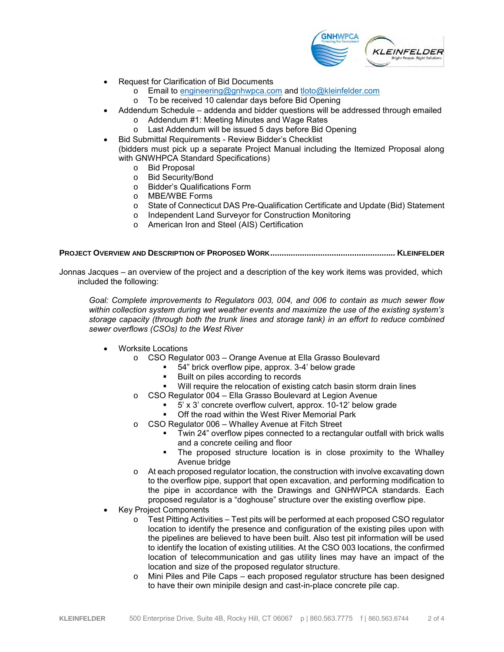

- Request for Clarification of Bid Documents
	- $\overline{\text{R}}$  Email to [engineering@gnhwpca.com](mailto:engineering@gnhwpca.com) and [tloto@kleinfelder.com](mailto:tloto@kleinfelder.com)
		- To be received 10 calendar days before Bid Opening
- Addendum Schedule addenda and bidder questions will be addressed through emailed
	- o Addendum #1: Meeting Minutes and Wage Rates
	- o Last Addendum will be issued 5 days before Bid Opening
- Bid Submittal Requirements Review Bidder's Checklist (bidders must pick up a separate Project Manual including the Itemized Proposal along with GNWHPCA Standard Specifications)
	- o Bid Proposal
	- o Bid Security/Bond
	- o Bidder's Qualifications Form
	- o MBE/WBE Forms
	- o State of Connecticut DAS Pre-Qualification Certificate and Update (Bid) Statement
	- o Independent Land Surveyor for Construction Monitoring
	- o American Iron and Steel (AIS) Certification

**PROJECT OVERVIEW AND DESCRIPTION OF PROPOSED WORK....................................................... KLEINFELDER**

Jonnas Jacques – an overview of the project and a description of the key work items was provided, which included the following:

*Goal: Complete improvements to Regulators 003, 004, and 006 to contain as much sewer flow within collection system during wet weather events and maximize the use of the existing system's storage capacity (through both the trunk lines and storage tank) in an effort to reduce combined sewer overflows (CSOs) to the West River*

- Worksite Locations
	- o CSO Regulator 003 Orange Avenue at Ella Grasso Boulevard
		- 54" brick overflow pipe, approx. 3-4' below grade
		- Built on piles according to records
		- Will require the relocation of existing catch basin storm drain lines
	- o CSO Regulator 004 Ella Grasso Boulevard at Legion Avenue
		- $5'$  x 3' concrete overflow culvert, approx.  $10-12'$  below grade
		- Off the road within the West River Memorial Park
	- o CSO Regulator 006 Whalley Avenue at Fitch Street
		- Twin 24" overflow pipes connected to a rectangular outfall with brick walls and a concrete ceiling and floor
		- The proposed structure location is in close proximity to the Whalley Avenue bridge
	- o At each proposed regulator location, the construction with involve excavating down to the overflow pipe, support that open excavation, and performing modification to the pipe in accordance with the Drawings and GNHWPCA standards. Each proposed regulator is a "doghouse" structure over the existing overflow pipe.
- Key Project Components
	- $\circ$  Test Pitting Activities Test pits will be performed at each proposed CSO regulator location to identify the presence and configuration of the existing piles upon with the pipelines are believed to have been built. Also test pit information will be used to identify the location of existing utilities. At the CSO 003 locations, the confirmed location of telecommunication and gas utility lines may have an impact of the location and size of the proposed regulator structure.
	- $\circ$  Mini Piles and Pile Caps each proposed regulator structure has been designed to have their own minipile design and cast-in-place concrete pile cap.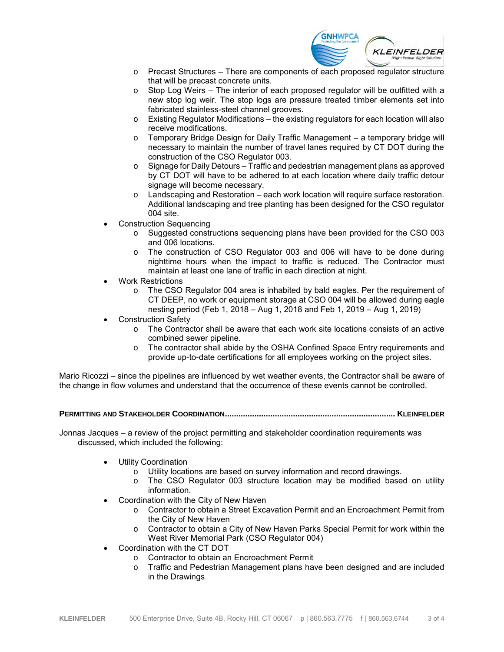

- $\circ$  Precast Structures There are components of each proposed regulator structure that will be precast concrete units.
- o Stop Log Weirs The interior of each proposed regulator will be outfitted with a new stop log weir. The stop logs are pressure treated timber elements set into fabricated stainless-steel channel grooves.
- $\circ$  Existing Regulator Modifications the existing regulators for each location will also receive modifications.
- o Temporary Bridge Design for Daily Traffic Management a temporary bridge will necessary to maintain the number of travel lanes required by CT DOT during the construction of the CSO Regulator 003.
- $\circ$  Signage for Daily Detours Traffic and pedestrian management plans as approved by CT DOT will have to be adhered to at each location where daily traffic detour signage will become necessary.
- Landscaping and Restoration each work location will require surface restoration. Additional landscaping and tree planting has been designed for the CSO regulator 004 site.
- Construction Sequencing
	- o Suggested constructions sequencing plans have been provided for the CSO 003 and 006 locations.
	- o The construction of CSO Regulator 003 and 006 will have to be done during nighttime hours when the impact to traffic is reduced. The Contractor must maintain at least one lane of traffic in each direction at night.
- Work Restrictions
	- o The CSO Regulator 004 area is inhabited by bald eagles. Per the requirement of CT DEEP, no work or equipment storage at CSO 004 will be allowed during eagle nesting period (Feb 1, 2018 – Aug 1, 2018 and Feb 1, 2019 – Aug 1, 2019)
- Construction Safety
	- o The Contractor shall be aware that each work site locations consists of an active combined sewer pipeline.
	- o The contractor shall abide by the OSHA Confined Space Entry requirements and provide up-to-date certifications for all employees working on the project sites.

Mario Ricozzi – since the pipelines are influenced by wet weather events, the Contractor shall be aware of the change in flow volumes and understand that the occurrence of these events cannot be controlled.

**PERMITTING AND STAKEHOLDER COORDINATION........................................................................... KLEINFELDER**

Jonnas Jacques – a review of the project permitting and stakeholder coordination requirements was discussed, which included the following:

- **Utility Coordination** 
	- o Utility locations are based on survey information and record drawings.
	- o The CSO Regulator 003 structure location may be modified based on utility information.
- Coordination with the City of New Haven
	- o Contractor to obtain a Street Excavation Permit and an Encroachment Permit from the City of New Haven
	- o Contractor to obtain a City of New Haven Parks Special Permit for work within the West River Memorial Park (CSO Regulator 004)
- Coordination with the CT DOT
	- o Contractor to obtain an Encroachment Permit
	- o Traffic and Pedestrian Management plans have been designed and are included in the Drawings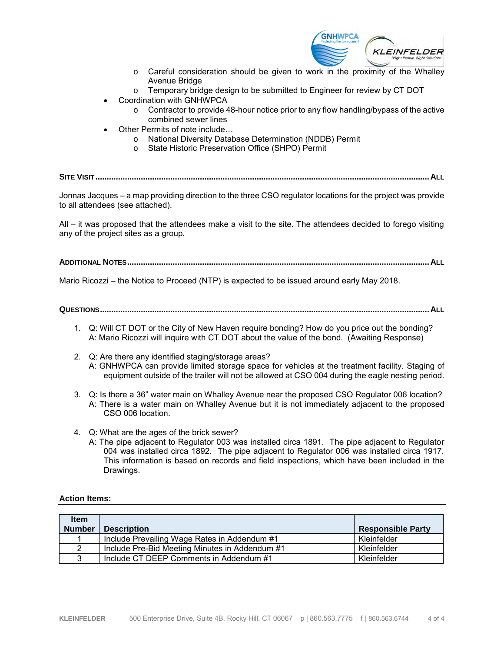

- o Careful consideration should be given to work in the proximity of the Whalley Avenue Bridge
- o Temporary bridge design to be submitted to Engineer for review by CT DOT
- Coordination with GNHWPCA
	- o Contractor to provide 48-hour notice prior to any flow handling/bypass of the active combined sewer lines
- Other Permits of note include…
	- o National Diversity Database Determination (NDDB) Permit
	- o State Historic Preservation Office (SHPO) Permit

**SITE VISIT...................................................................................................................................................ALL**

Jonnas Jacques – a map providing direction to the three CSO regulator locations for the project was provide to all attendees (see attached).

All – it was proposed that the attendees make a visit to the site. The attendees decided to forego visiting any of the project sites as a group.

#### **ADDITIONAL NOTES.....................................................................................................................................ALL**

Mario Ricozzi – the Notice to Proceed (NTP) is expected to be issued around early May 2018.

#### **QUESTIONS.................................................................................................................................................ALL**

- 1. Q: Will CT DOT or the City of New Haven require bonding? How do you price out the bonding? A: Mario Ricozzi will inquire with CT DOT about the value of the bond. (Awaiting Response)
- 2. Q: Are there any identified staging/storage areas? A: GNHWPCA can provide limited storage space for vehicles at the treatment facility. Staging of equipment outside of the trailer will not be allowed at CSO 004 during the eagle nesting period.
- 3. Q: Is there a 36" water main on Whalley Avenue near the proposed CSO Regulator 006 location? A: There is a water main on Whalley Avenue but it is not immediately adjacent to the proposed CSO 006 location.
- 4. Q: What are the ages of the brick sewer?
	- A: The pipe adjacent to Regulator 003 was installed circa 1891. The pipe adjacent to Regulator 004 was installed circa 1892. The pipe adjacent to Regulator 006 was installed circa 1917. This information is based on records and field inspections, which have been included in the Drawings.

#### **Action Items:**

| <b>Item</b><br><b>Number</b> | <b>Description</b>                             | <b>Responsible Party</b> |
|------------------------------|------------------------------------------------|--------------------------|
|                              | Include Prevailing Wage Rates in Addendum #1   | Kleinfelder              |
|                              | Include Pre-Bid Meeting Minutes in Addendum #1 | Kleinfelder              |
| 3                            | Include CT DEEP Comments in Addendum #1        | Kleinfelder              |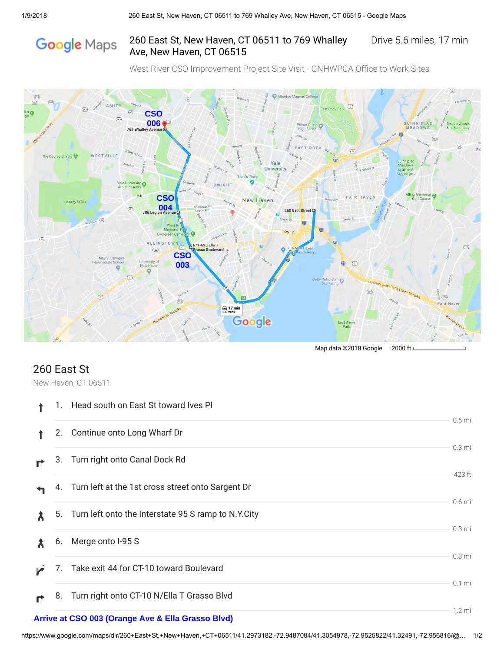# Google Maps

## 260 East St, New Haven, CT 06511 to 769 Whalley Drive 5.6 miles, 17 min Ave, New Haven, CT 06515

West River CSO Improvement Project Site Visit - GNHWPCA Office to Work Sites



## 260 East St

New Haven, CT 06511

| 1. | Head south on East St toward Ives PI                   |                             |
|----|--------------------------------------------------------|-----------------------------|
| 2. | Continue onto Long Wharf Dr                            | 0.5 <sub>mi</sub>           |
| З. | Turn right onto Canal Dock Rd                          | 0.3 <sub>mi</sub>           |
|    | 4. Turn left at the 1st cross street onto Sargent Dr   | 423 ft<br>0.6 <sub>mi</sub> |
|    | 5. Turn left onto the Interstate 95 S ramp to N.Y.City | 0.3 <sub>mi</sub>           |
| 6. | Merge onto I-95 S                                      | 0.3 <sub>mi</sub>           |
| 7. | Take exit 44 for CT-10 toward Boulevard                | $0.1$ mi                    |
| 8. | Turn right onto CT-10 N/Ella T Grasso Blvd             | $1.2 \text{ mi}$            |
|    | Arrive at CSO 003 (Orange Ave & Ella Grasso Blvd)      |                             |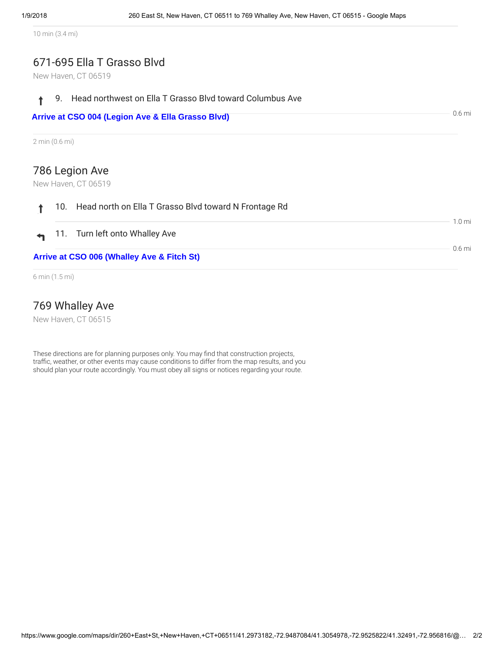10 min (3.4 mi)

## 671-695 Ella T Grasso Blvd

New Haven, CT 06519

|                | ↑ 9. Head northwest on Ella T Grasso Blvd toward Columbus Ave |                    |
|----------------|---------------------------------------------------------------|--------------------|
|                | Arrive at CSO 004 (Legion Ave & Ella Grasso Blvd)             | $06 \,\mathrm{mi}$ |
| 2 min (0.6 mi) |                                                               |                    |

## 786 Legion Ave

New Haven, CT 06519

| $0.6$ mi<br>Arrive at CSO 006 (Whalley Ave & Fitch St) |                                                           |                 |  |  |
|--------------------------------------------------------|-----------------------------------------------------------|-----------------|--|--|
|                                                        | $\leftrightarrow$ 11. Turn left onto Whalley Ave          |                 |  |  |
|                                                        | 10. Head north on Ella T Grasso Blvd toward N Frontage Rd | $10 \text{ mi}$ |  |  |

6 min (1.5 mi)

## 769 Whalley Ave

New Haven, CT 06515

These directions are for planning purposes only. You may find that construction projects, traffic, weather, or other events may cause conditions to differ from the map results, and you should plan your route accordingly. You must obey all signs or notices regarding your route.